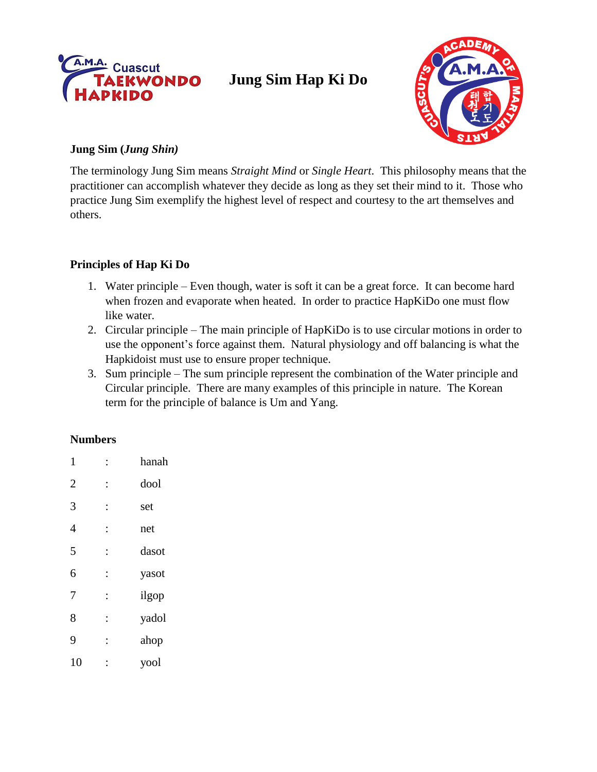

# **Jung Sim Hap Ki Do**



#### **Jung Sim (***Jung Shin)*

The terminology Jung Sim means *Straight Mind* or *Single Heart*. This philosophy means that the practitioner can accomplish whatever they decide as long as they set their mind to it. Those who practice Jung Sim exemplify the highest level of respect and courtesy to the art themselves and others.

## **Principles of Hap Ki Do**

- 1. Water principle Even though, water is soft it can be a great force. It can become hard when frozen and evaporate when heated. In order to practice HapKiDo one must flow like water.
- 2. Circular principle The main principle of HapKiDo is to use circular motions in order to use the opponent's force against them. Natural physiology and off balancing is what the Hapkidoist must use to ensure proper technique.
- 3. Sum principle The sum principle represent the combination of the Water principle and Circular principle. There are many examples of this principle in nature. The Korean term for the principle of balance is Um and Yang.

## **Numbers**

| 1              |                | hanah |
|----------------|----------------|-------|
| $\overline{2}$ | $\ddot{\cdot}$ | dool  |
| 3              | $\ddot{\cdot}$ | set   |
| 4              | $\ddot{\cdot}$ | net   |
| 5              | $\ddot{\cdot}$ | dasot |
| 6              | $\ddot{\cdot}$ | yasot |
| 7              | $\ddot{\cdot}$ | ilgop |
| 8              | $\ddot{\cdot}$ | yadol |
| 9              | $\ddot{\cdot}$ | ahop  |
| 10             |                | yool  |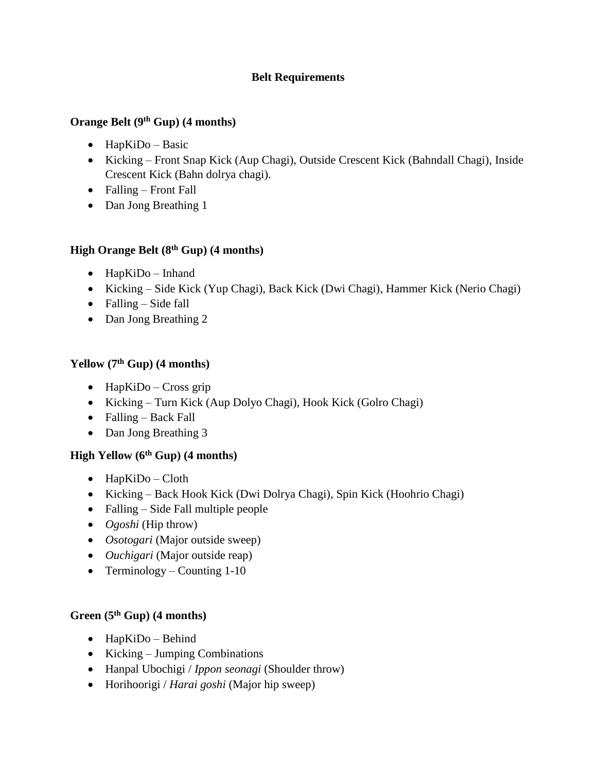## **Belt Requirements**

#### **Orange Belt (9th Gup) (4 months)**

- $\bullet$  HapKiDo Basic
- Kicking Front Snap Kick (Aup Chagi), Outside Crescent Kick (Bahndall Chagi), Inside Crescent Kick (Bahn dolrya chagi).
- Falling Front Fall
- Dan Jong Breathing 1

## **High Orange Belt (8th Gup) (4 months)**

- HapKiDo Inhand
- Kicking Side Kick (Yup Chagi), Back Kick (Dwi Chagi), Hammer Kick (Nerio Chagi)
- $\bullet$  Falling Side fall
- Dan Jong Breathing 2

## **Yellow (7th Gup) (4 months)**

- $\bullet$  HapKiDo Cross grip
- Kicking Turn Kick (Aup Dolyo Chagi), Hook Kick (Golro Chagi)
- Falling Back Fall
- Dan Jong Breathing 3

## **High Yellow (6th Gup) (4 months)**

- $\bullet$  HapKiDo Cloth
- Kicking Back Hook Kick (Dwi Dolrya Chagi), Spin Kick (Hoohrio Chagi)
- Falling Side Fall multiple people
- *Ogoshi* (Hip throw)
- *Osotogari* (Major outside sweep)
- *Ouchigari* (Major outside reap)
- Terminology Counting  $1-10$

## **Green (5th Gup) (4 months)**

- $\bullet$  HapKiDo Behind
- Kicking Jumping Combinations
- Hanpal Ubochigi / *Ippon seonagi* (Shoulder throw)
- Horihoorigi / *Harai goshi* (Major hip sweep)